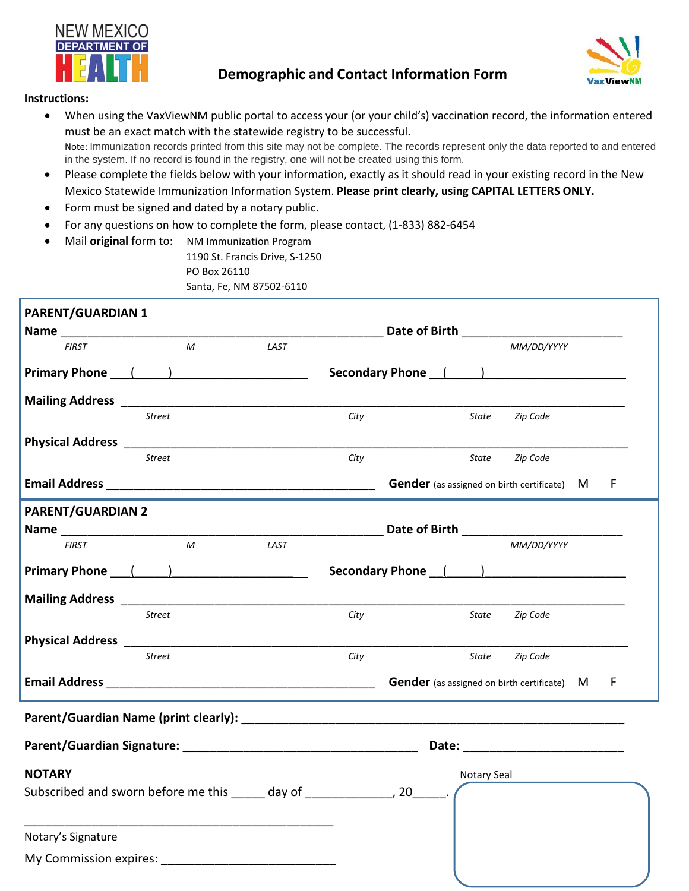

## **Demographic and Contact Information Form**



## **Instructions:**

- When using the VaxViewNM public portal to access your (or your child's) vaccination record, the information entered must be an exact match with the statewide registry to be successful. Note: Immunization records printed from this site may not be complete. The records represent only the data reported to and entered in the system. If no record is found in the registry, one will not be created using this form.
- Please complete the fields below with your information, exactly as it should read in your existing record in the New Mexico Statewide Immunization Information System. **Please print clearly, using CAPITAL LETTERS ONLY.**
- Form must be signed and dated by a notary public.
- For any questions on how to complete the form, please contact, (1-833) 882-6454
- Mail **original** form to: NM Immunization Program 1190 St. Francis Drive, S-1250 PO Box 26110 Santa, Fe, NM 87502-6110

| <b>PARENT/GUARDIAN 1</b> |                   |      |                                    |  |             |                                                    |  |   |  |
|--------------------------|-------------------|------|------------------------------------|--|-------------|----------------------------------------------------|--|---|--|
| Name ____________        |                   |      | Date of Birth <b>Exercise 2018</b> |  |             |                                                    |  |   |  |
| <b>FIRST</b>             | M                 | LAST |                                    |  |             | MM/DD/YYYY                                         |  |   |  |
|                          | Primary Phone ( ) |      |                                    |  |             | Secondary Phone ( )                                |  |   |  |
|                          |                   |      |                                    |  |             |                                                    |  |   |  |
|                          | <b>Street</b>     |      | City                               |  | State       | Zip Code                                           |  |   |  |
|                          |                   |      |                                    |  |             |                                                    |  |   |  |
|                          | <b>Street</b>     |      | City                               |  | State       | Zip Code                                           |  |   |  |
|                          |                   |      |                                    |  |             | <b>Gender</b> (as assigned on birth certificate) M |  | F |  |
| <b>PARENT/GUARDIAN 2</b> |                   |      |                                    |  |             |                                                    |  |   |  |
|                          |                   |      |                                    |  |             |                                                    |  |   |  |
| <b>FIRST</b>             | $\mathcal{M}$     | LAST |                                    |  |             | MM/DD/YYYY                                         |  |   |  |
|                          | Primary Phone ( ) |      |                                    |  |             | Secondary Phone (Secondary 2014)                   |  |   |  |
|                          |                   |      |                                    |  |             |                                                    |  |   |  |
|                          | <b>Street</b>     |      | City                               |  | State       | Zip Code                                           |  |   |  |
|                          |                   |      |                                    |  |             |                                                    |  |   |  |
|                          | <b>Street</b>     |      | City                               |  | State       | Zip Code                                           |  |   |  |
|                          |                   |      |                                    |  |             | <b>Gender</b> (as assigned on birth certificate) M |  | F |  |
|                          |                   |      |                                    |  |             |                                                    |  |   |  |
|                          |                   |      |                                    |  |             |                                                    |  |   |  |
| <b>NOTARY</b>            |                   |      |                                    |  | Notary Seal |                                                    |  |   |  |
|                          |                   |      |                                    |  |             |                                                    |  |   |  |
| Notary's Signature       |                   |      |                                    |  |             |                                                    |  |   |  |
|                          |                   |      |                                    |  |             |                                                    |  |   |  |
|                          |                   |      |                                    |  |             |                                                    |  |   |  |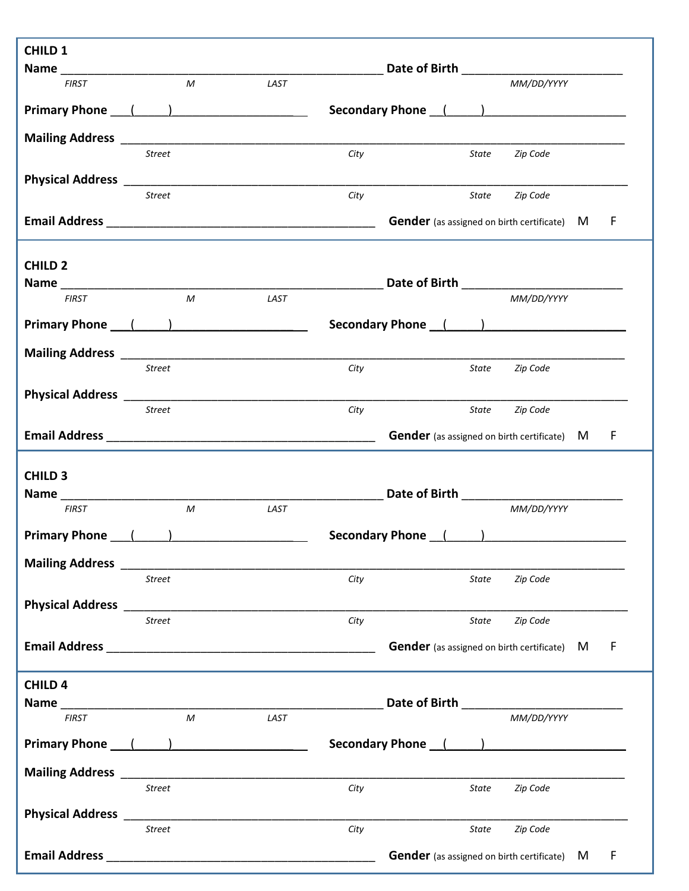| <b>CHILD 1</b>                                                                                                  |               |                  |      |      |                                                      |                |  |     |  |
|-----------------------------------------------------------------------------------------------------------------|---------------|------------------|------|------|------------------------------------------------------|----------------|--|-----|--|
|                                                                                                                 |               |                  |      |      |                                                      |                |  |     |  |
| <b>FIRST</b>                                                                                                    |               | M                | LAST |      |                                                      | MM/DD/YYYY     |  |     |  |
| Primary Phone ( )                                                                                               |               |                  |      |      | Secondary Phone ( )                                  |                |  |     |  |
|                                                                                                                 |               |                  |      |      |                                                      |                |  |     |  |
|                                                                                                                 | Street        |                  |      | City |                                                      | State Zip Code |  |     |  |
|                                                                                                                 |               |                  |      |      |                                                      |                |  |     |  |
|                                                                                                                 | <b>Street</b> |                  |      | City |                                                      | State Zip Code |  |     |  |
|                                                                                                                 |               |                  |      |      | <b>Gender</b> (as assigned on birth certificate) M   |                |  | -F  |  |
|                                                                                                                 |               |                  |      |      |                                                      |                |  |     |  |
| <b>CHILD 2</b>                                                                                                  |               |                  |      |      |                                                      |                |  |     |  |
| <b>FIRST</b>                                                                                                    |               | M                | LAST |      | Date of Birth <b>Exercise 2018</b>                   | MM/DD/YYYY     |  |     |  |
|                                                                                                                 |               |                  |      |      |                                                      |                |  |     |  |
| Primary Phone ( )                                                                                               |               |                  |      |      |                                                      |                |  |     |  |
|                                                                                                                 |               |                  |      |      |                                                      |                |  |     |  |
|                                                                                                                 | Street        |                  |      | City | State                                                | Zip Code       |  |     |  |
|                                                                                                                 |               |                  |      |      |                                                      |                |  |     |  |
|                                                                                                                 | Street        |                  |      | City | State                                                | Zip Code       |  |     |  |
|                                                                                                                 |               |                  |      |      | <b>Gender</b> (as assigned on birth certificate) M F |                |  |     |  |
| <b>CHILD 3</b>                                                                                                  |               |                  |      |      |                                                      |                |  |     |  |
|                                                                                                                 |               |                  |      |      | Date of Birth ______________                         |                |  |     |  |
| <b>FIRST</b>                                                                                                    |               | ${\cal M}$       | LAST |      |                                                      | MM/DD/YYYY     |  |     |  |
| <b>Primary Phone</b>                                                                                            |               |                  |      |      | Secondary Phone (1)                                  |                |  |     |  |
|                                                                                                                 |               |                  |      |      |                                                      |                |  |     |  |
|                                                                                                                 | <b>Street</b> |                  |      | City | State                                                | Zip Code       |  |     |  |
|                                                                                                                 |               |                  |      |      |                                                      |                |  |     |  |
|                                                                                                                 | <b>Street</b> |                  |      | City | State                                                | Zip Code       |  |     |  |
| Email Address 2014 2022 2022 2023 2024 2022 2023 2024 2022 2023 2024 2022 2023 2024 2022 2023 2024 2022 2023 20 |               |                  |      |      | <b>Gender</b> (as assigned on birth certificate) M   |                |  | – F |  |
|                                                                                                                 |               |                  |      |      |                                                      |                |  |     |  |
| <b>CHILD 4</b>                                                                                                  |               |                  |      |      |                                                      |                |  |     |  |
| <b>FIRST</b>                                                                                                    |               | $\boldsymbol{M}$ | LAST |      |                                                      | MM/DD/YYYY     |  |     |  |
|                                                                                                                 |               |                  |      |      |                                                      |                |  |     |  |
| Primary Phone ( )                                                                                               |               |                  |      |      | Secondary Phone ( )                                  |                |  |     |  |
|                                                                                                                 |               |                  |      |      |                                                      |                |  |     |  |
|                                                                                                                 | <b>Street</b> |                  |      | City | State                                                | Zip Code       |  |     |  |
|                                                                                                                 |               |                  |      |      |                                                      |                |  |     |  |
|                                                                                                                 | <b>Street</b> |                  |      | City | State                                                | Zip Code       |  |     |  |
|                                                                                                                 |               |                  |      |      | <b>Gender</b> (as assigned on birth certificate) M   |                |  | F   |  |